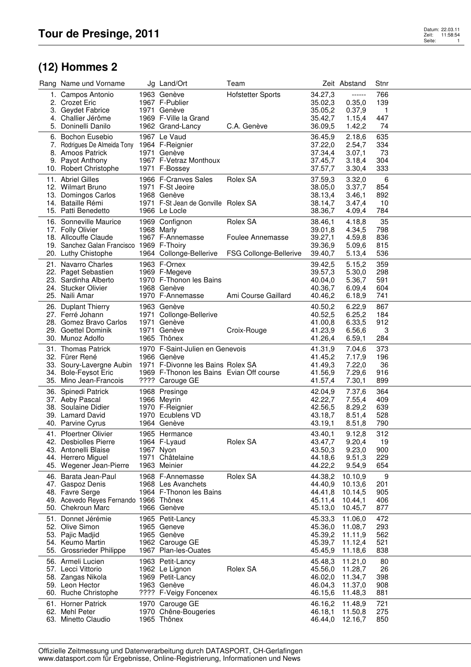## **(12) Hommes 2**

| Rang Name und Vorname                                                                                                                   | Jg Land/Ort                                                                                                                                        | Team                                                   |                                                     | Zeit Abstand                                                        | Stnr                            |  |
|-----------------------------------------------------------------------------------------------------------------------------------------|----------------------------------------------------------------------------------------------------------------------------------------------------|--------------------------------------------------------|-----------------------------------------------------|---------------------------------------------------------------------|---------------------------------|--|
| 1. Campos Antonio<br>2. Crozet Eric<br>3. Geydet Fabrice                                                                                | 1963 Genève<br>1967 F-Publier<br>1971 Genève                                                                                                       | <b>Hofstetter Sports</b>                               | 34.27,3<br>35.02,3<br>35.05,2                       | ------<br>0.35,0<br>0.37,9                                          | 766<br>139<br>$\mathbf{1}$      |  |
| 4. Challier Jérôme<br>5. Doninelli Danilo                                                                                               | 1969 F-Ville la Grand<br>1962 Grand-Lancy                                                                                                          | C.A. Genève                                            | 35.42,7<br>36.09,5                                  | 1.15,4<br>1.42,2                                                    | 447<br>74                       |  |
| 6. Bochon Eusebio<br>7. Rodrigues De Almeida Tony 1964 F-Reignier<br>8. Amoos Patrick<br>9. Payot Anthony<br>10. Robert Christophe      | 1967 Le Vaud<br>1971 Genève<br>1967 F-Vetraz Monthoux<br>1971 F-Bossey                                                                             |                                                        | 36.45,9<br>37.22,0<br>37.34,4<br>37.45,7<br>37.57,7 | 2.18,6<br>2.54,7<br>3.07,1<br>3.18,4<br>3.30,4                      | 635<br>334<br>73<br>304<br>333  |  |
| 11. Abriel Gilles<br>12. Wilmart Bruno<br>13. Domingos Carlos<br>14. Bataille Rémi<br>15. Patti Benedetto                               | 1966 F-Cranves Sales<br>1971 F-St Jeoire<br>1968 Genève<br>1971 F-St Jean de Gonville Rolex SA<br>1966 Le Locle                                    | Rolex SA                                               | 37.59,3<br>38.05,0<br>38.13,4<br>38.14,7<br>38.36,7 | 3.32,0<br>3.37,7<br>3.46,1<br>3.47,4<br>4.09,4                      | 6<br>854<br>892<br>10<br>784    |  |
| 16. Sonneville Maurice<br>17. Folly Olivier<br>18. Allcouffe Claude<br>19. Sanchez Galan Francisco 1969 F-Thoiry<br>20. Luthy Chistophe | 1969 Confignon<br>1968 Marly<br>1967 F-Annemasse<br>1964 Collonge-Bellerive                                                                        | Rolex SA<br>Foulee Annemasse<br>FSG Collonge-Bellerive | 38.46,1<br>39.01,8<br>39.27,1<br>39.36,9<br>39.40,7 | 4.18,8<br>4.34,5<br>4.59,8<br>5.09,6<br>5.13,4                      | 35<br>798<br>836<br>815<br>536  |  |
| 21. Navarro Charles<br>22. Paget Sebastien<br>23. Sardinha Alberto<br>24. Stucker Olivier<br>25. Naili Amar                             | 1963 F-Ornex<br>1969 F-Megeve<br>1970 F-Thonon les Bains<br>1968 Genève<br>1970 F-Annemasse                                                        | Ami Course Gaillard                                    | 39.42,5<br>39.57,3<br>40.04,0<br>40.36,7<br>40.46,2 | 5.15,2<br>5.30,0<br>5.36,7<br>6.09,4<br>6.18,9                      | 359<br>298<br>591<br>604<br>741 |  |
| 26. Duplant Thierry<br>27. Ferré Johann<br>28. Gomez Bravo Carlos<br>29. Goettel Dominik<br>30. Munoz Adolfo                            | 1963 Genève<br>1971 Collonge-Bellerive<br>1971 Genève<br>1971 Genève<br>1965 Thônex                                                                | Croix-Rouge                                            | 40.50,2<br>40.52,5<br>41.00,8<br>41.23,9<br>41.26,4 | 6.22,9<br>6.25,2<br>6.33,5<br>6.56,6<br>6.59,1                      | 867<br>184<br>912<br>3<br>284   |  |
| 31. Thomas Patrick<br>32. Fürer René<br>33. Soury-Lavergne Aubin<br>34. Bole-Feysot Eric<br>35. Mino Jean-Francois                      | 1970 F-Saint-Julien en Genevois<br>1966 Genève<br>1971 F-Divonne les Bains Rolex SA<br>1969 F-Thonon les Bains Evian Off course<br>???? Carouge GE |                                                        | 41.31,9<br>41.45,2<br>41.49,3<br>41.56,9<br>41.57,4 | 7.04,6<br>7.17,9<br>7.22,0<br>7.29,6<br>7.30,1                      | 373<br>196<br>36<br>916<br>899  |  |
| 36. Spinedi Patrick<br>37. Aeby Pascal<br>38. Soulaine Didier<br>39. Lamard David<br>40. Parvine Cyrus                                  | 1968 Presinge<br>1966 Meyrin<br>1970 F-Reignier<br>1970 Ecublens VD<br>1964 Genève                                                                 |                                                        | 42.04,9<br>42.22,7<br>42.56,5<br>43.18,7<br>43.19,1 | 7.37,6<br>7.55,4<br>8.29,2<br>8.51,4<br>8.51,8                      | 364<br>409<br>639<br>528<br>790 |  |
| 41. Pfoertner Olivier<br>42. Desbiolles Pierre<br>43. Antonelli Blaise<br>44. Herrero Miguel<br>45. Wegener Jean-Pierre                 | 1965 Hermance<br>1964 F-Lyaud<br>1967 Nyon<br>1971 Châtelaine<br>1963 Meinier                                                                      | Rolex SA                                               | 43.40,1<br>43.47,7<br>43.50,3<br>44.18,6<br>44.22,2 | 9.12,8<br>9.20,4<br>9.23,0<br>9.51,3<br>9.54,9                      | 312<br>19<br>900<br>229<br>654  |  |
| 46. Barata Jean-Paul<br>47. Gaspoz Denis<br>48. Favre Serge<br>49. Acevedo Reyes Fernando 1966 Thônex<br>50. Chekroun Marc              | 1968 F-Annemasse<br>1968 Les Avanchets<br>1964 F-Thonon les Bains<br>1966 Genève                                                                   | Rolex SA                                               | 44.38,2<br>44.40.9<br>44.41,8<br>45.13,0            | 10.10,9<br>10.13,6<br>10.14,5<br>45.11.4 10.44.1<br>10.45,7         | 9<br>201<br>905<br>406<br>877   |  |
| 51. Donnet Jérémie<br>52. Olive Simon<br>53. Pajic Madjid<br>54. Keumo Martin<br>55. Grossrieder Philippe                               | 1965 Petit-Lancy<br>1965 Geneve<br>1965 Genève<br>1962 Carouge GE<br>1967 Plan-les-Ouates                                                          |                                                        | 45.33,3<br>45.36,0<br>45.45,9                       | 11.06,0<br>11.08,7<br>45.39,2 11.11,9<br>45.39,7 11.12,4<br>11.18,6 | 472<br>293<br>562<br>521<br>838 |  |
| 56. Armeli Lucien<br>57. Lecci Vittorio<br>58. Zangas Nikola<br>59. Leon Hector<br>60. Ruche Christophe                                 | 1963 Petit-Lancy<br>1962 Le Lignon<br>1969 Petit-Lancy<br>1963 Genève<br>???? F-Veigy Foncenex                                                     | Rolex SA                                               | 45.48,3<br>45.56,0<br>46.02,0<br>46.04,3<br>46.15,6 | 11.21,0<br>11.28,7<br>11.34,7<br>11.37,0<br>11.48,3                 | 80<br>26<br>398<br>908<br>881   |  |
| 61. Horner Patrick<br>62. Mehl Peter<br>63. Minetto Claudio                                                                             | 1970 Carouge GE<br>1970 Chêne-Bougeries<br>1965 Thônex                                                                                             |                                                        | 46.16,2<br>46.18,1<br>46.44,0                       | 11.48,9<br>11.50,8<br>12.16,7                                       | 721<br>275<br>850               |  |

Offizielle Zeitmessung und Datenverarbeitung durch DATASPORT, CH-Gerlafingen www.datasport.com für Ergebnisse, Online-Registrierung, Informationen und News